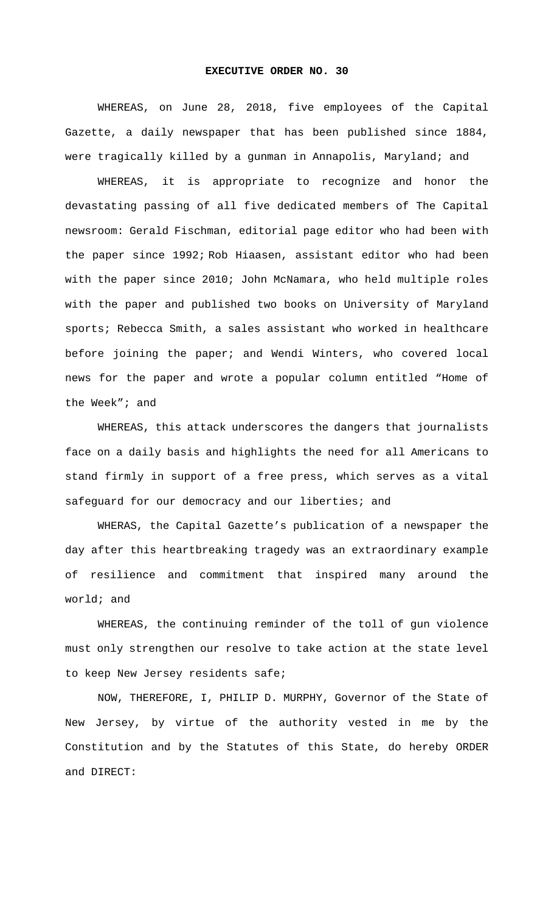## **EXECUTIVE ORDER NO. 30**

 WHEREAS, on June 28, 2018, five employees of the Capital Gazette, a daily newspaper that has been published since 1884, were tragically killed by a gunman in Annapolis, Maryland; and

WHEREAS, it is appropriate to recognize and honor the devastating passing of all five dedicated members of The Capital newsroom: Gerald Fischman, editorial page editor who had been with the paper since 1992; Rob Hiaasen, assistant editor who had been with the paper since 2010; John McNamara, who held multiple roles with the paper and published two books on University of Maryland sports; Rebecca Smith, a sales assistant who worked in healthcare before joining the paper; and Wendi Winters, who covered local news for the paper and wrote a popular column entitled "Home of the Week"; and

WHEREAS, this attack underscores the dangers that journalists face on a daily basis and highlights the need for all Americans to stand firmly in support of a free press, which serves as a vital safeguard for our democracy and our liberties; and

WHERAS, the Capital Gazette's publication of a newspaper the day after this heartbreaking tragedy was an extraordinary example of resilience and commitment that inspired many around the world; and

WHEREAS, the continuing reminder of the toll of gun violence must only strengthen our resolve to take action at the state level to keep New Jersey residents safe;

NOW, THEREFORE, I, PHILIP D. MURPHY, Governor of the State of New Jersey, by virtue of the authority vested in me by the Constitution and by the Statutes of this State, do hereby ORDER and DIRECT: